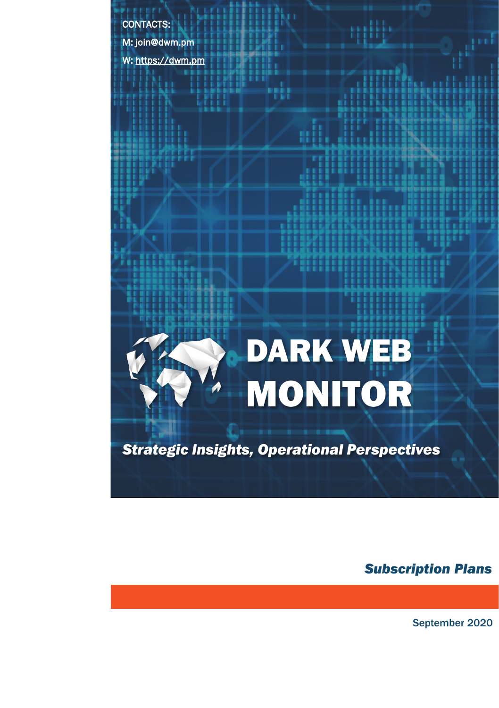CONTACTS:

M: join@dwm.pm

W: [https://dwm.pm](https://dwm.pm/)

## DARK WEB MONITOR

mili

*Strategic Insights, Operational Perspectives*

*Subscription Plans*

September 2020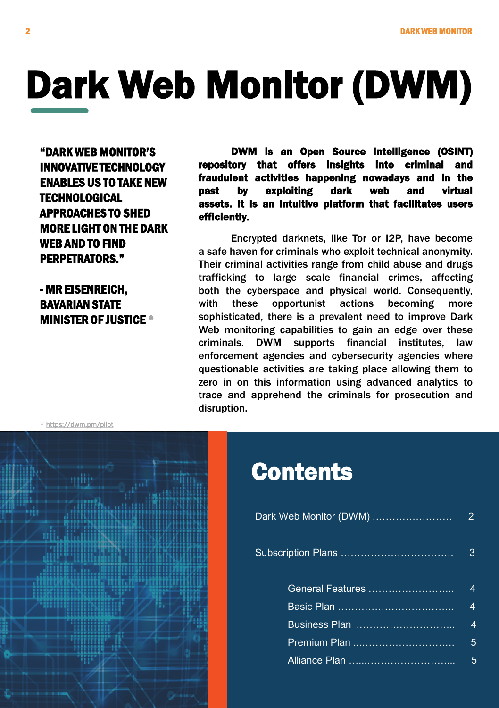## Dark Web Monitor (DWM)

"DARK WEB MONITOR'S INNOVATIVE TECHNOLOGY ENABLES US TO TAKE NEW **TECHNOLOGICAL** APPROACHES TO SHED MORE LIGHT ON THE DARK WEB AND TO FIND PERPETRATORS."

- MR EISENREICH, BAVARIAN STATE MINISTER OF JUSTICE \*

DWM is an Open Source Intelligence (OSINT) repository that offers insights into criminal and fraudulent activities happening nowadays and in the past by exploiting dark web and virtual assets. It is an intuitive platform that facilitates users efficiently.

Encrypted darknets, like Tor or I2P, have become a safe haven for criminals who exploit technical anonymity. Their criminal activities range from child abuse and drugs trafficking to large scale financial crimes, affecting both the cyberspace and physical world. Consequently, with these opportunist actions becoming more sophisticated, there is a prevalent need to improve Dark Web monitoring capabilities to gain an edge over these criminals. DWM supports financial institutes, law enforcement agencies and cybersecurity agencies where questionable activities are taking place allowing them to zero in on this information using advanced analytics to trace and apprehend the criminals for prosecution and disruption.

\* <https://dwm.pm/pilot>



### **Contents**

| <u>Dark Web Monitor (DWM)</u> <del></del> |   |
|-------------------------------------------|---|
|                                           | З |
| General Features                          | Δ |
|                                           | Δ |
| <u>Business</u> Plan                      | 4 |
|                                           | 5 |
|                                           |   |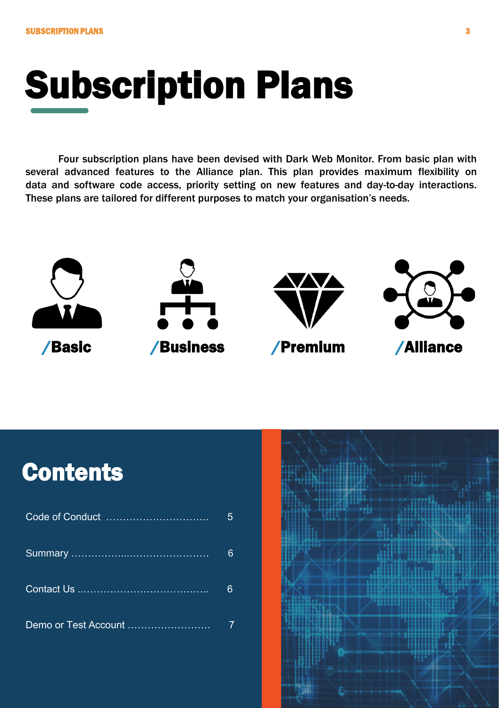## Subscription Plans

Four subscription plans have been devised with Dark Web Monitor. From basic plan with several advanced features to the Alliance plan. This plan provides maximum flexibility on data and software code access, priority setting on new features and day-to-day interactions. These plans are tailored for different purposes to match your organisation's needs.



### **Contents**

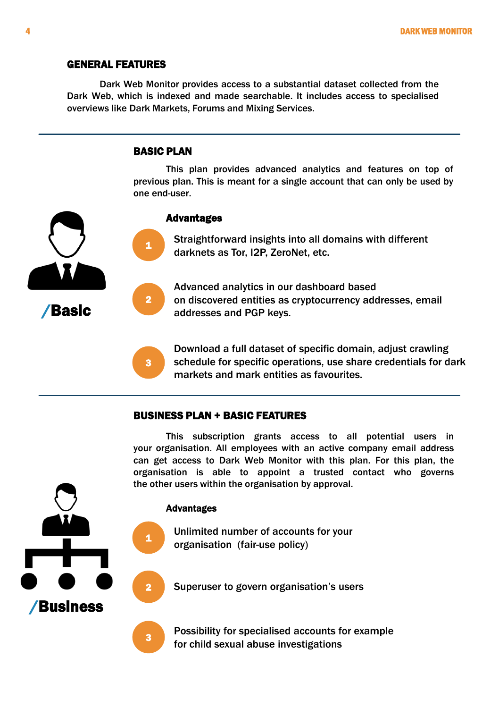#### GENERAL FEATURES

Dark Web Monitor provides access to a substantial dataset collected from the Dark Web, which is indexed and made searchable. It includes access to specialised overviews like Dark Markets, Forums and Mixing Services.

#### BASIC PLAN

1

2

3

2

This plan provides advanced analytics and features on top of previous plan. This is meant for a single account that can only be used by one end-user.



Straightforward insights into all domains with different darknets as Tor, I2P, ZeroNet, etc.

Advanced analytics in our dashboard based on discovered entities as cryptocurrency addresses, email addresses and PGP keys.

Download a full dataset of specific domain, adjust crawling schedule for specific operations, use share credentials for dark markets and mark entities as favourites.

#### BUSINESS PLAN + BASIC FEATURES

This subscription grants access to all potential users in your organisation. All employees with an active company email address can get access to Dark Web Monitor with this plan. For this plan, the organisation is able to appoint a trusted contact who governs the other users within the organisation by approval.

#### Advantages



Superuser to govern organisation's users

Possibility for specialised accounts for example for child sexual abuse investigations



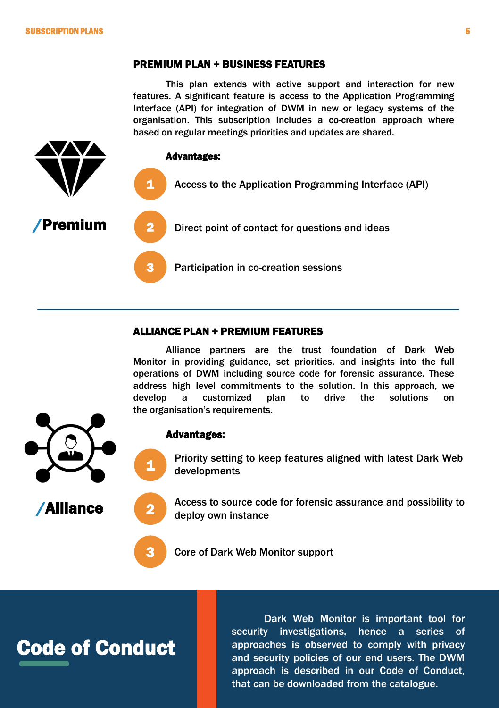#### PREMIUM PLAN + BUSINESS FEATURES

This plan extends with active support and interaction for new features. A significant feature is access to the Application Programming Interface (API) for integration of DWM in new or legacy systems of the organisation. This subscription includes a co-creation approach where based on regular meetings priorities and updates are shared.



#### ALLIANCE PLAN + PREMIUM FEATURES

Alliance partners are the trust foundation of Dark Web Monitor in providing guidance, set priorities, and insights into the full operations of DWM including source code for forensic assurance. These address high level commitments to the solution. In this approach, we develop a customized plan to drive the solutions on the organisation's requirements.



/Alliance

#### Advantages:

1

2

3

Priority setting to keep features aligned with latest Dark Web developments

Access to source code for forensic assurance and possibility to deploy own instance

Core of Dark Web Monitor support

### Code of Conduct

Dark Web Monitor is important tool for security investigations, hence a series of approaches is observed to comply with privacy and security policies of our end users. The DWM approach is described in our Code of Conduct, that can be downloaded from the catalogue.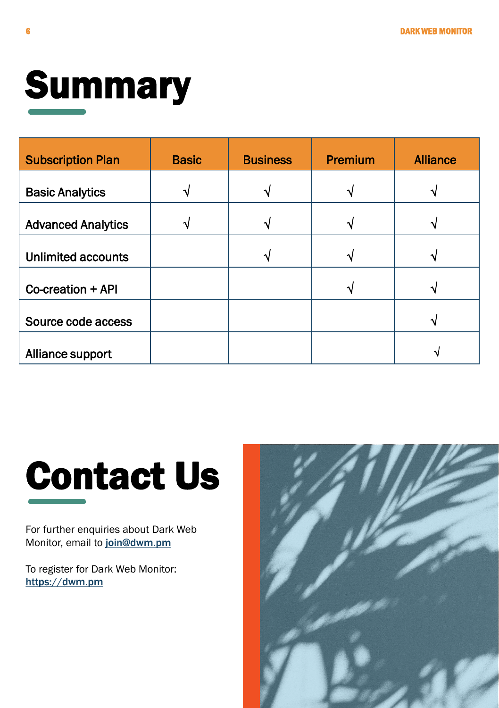

| <b>Subscription Plan</b>  | <b>Basic</b> | <b>Business</b> | Premium | <b>Alliance</b> |
|---------------------------|--------------|-----------------|---------|-----------------|
| <b>Basic Analytics</b>    |              |                 |         |                 |
| <b>Advanced Analytics</b> |              |                 |         |                 |
| <b>Unlimited accounts</b> |              |                 |         |                 |
| Co-creation + API         |              |                 |         |                 |
| Source code access        |              |                 |         |                 |
| Alliance support          |              |                 |         |                 |

# Contact Us

For further enquiries about Dark Web Monitor, email to [join@dwm.pm](mailto:join@dwm.pm)

To register for Dark Web Monitor: [https://dwm.pm](https://dwm.pm/)